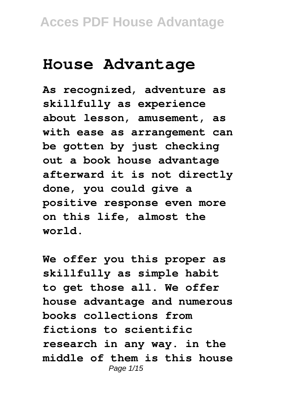# **House Advantage**

**As recognized, adventure as skillfully as experience about lesson, amusement, as with ease as arrangement can be gotten by just checking out a book house advantage afterward it is not directly done, you could give a positive response even more on this life, almost the world.**

**We offer you this proper as skillfully as simple habit to get those all. We offer house advantage and numerous books collections from fictions to scientific research in any way. in the middle of them is this house** Page 1/15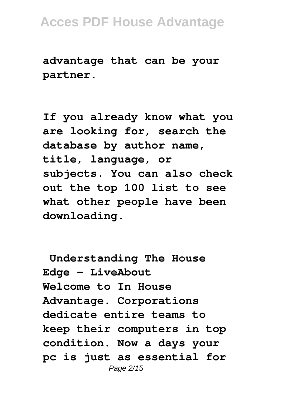**advantage that can be your partner.**

**If you already know what you are looking for, search the database by author name, title, language, or subjects. You can also check out the top 100 list to see what other people have been downloading.**

**Understanding The House Edge - LiveAbout Welcome to In House Advantage. Corporations dedicate entire teams to keep their computers in top condition. Now a days your pc is just as essential for** Page 2/15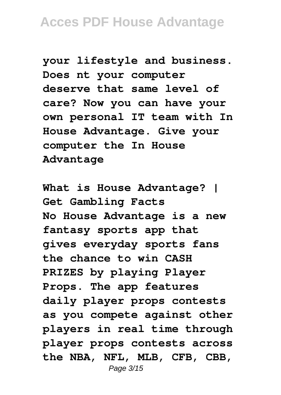**your lifestyle and business. Does nt your computer deserve that same level of care? Now you can have your own personal IT team with In House Advantage. Give your computer the In House Advantage**

**What is House Advantage? | Get Gambling Facts No House Advantage is a new fantasy sports app that gives everyday sports fans the chance to win CASH PRIZES by playing Player Props. The app features daily player props contests as you compete against other players in real time through player props contests across the NBA, NFL, MLB, CFB, CBB,** Page 3/15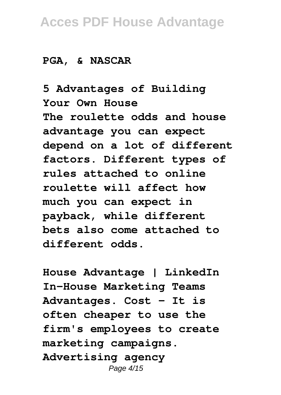#### **PGA, & NASCAR**

**5 Advantages of Building Your Own House The roulette odds and house advantage you can expect depend on a lot of different factors. Different types of rules attached to online roulette will affect how much you can expect in payback, while different bets also come attached to different odds.**

**House Advantage | LinkedIn In-House Marketing Teams Advantages. Cost - It is often cheaper to use the firm's employees to create marketing campaigns. Advertising agency** Page 4/15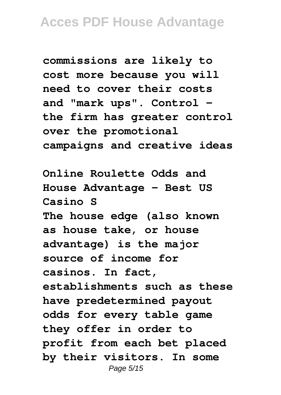**commissions are likely to cost more because you will need to cover their costs and "mark ups". Control the firm has greater control over the promotional campaigns and creative ideas**

**Online Roulette Odds and House Advantage - Best US Casino S The house edge (also known as house take, or house advantage) is the major source of income for casinos. In fact, establishments such as these have predetermined payout odds for every table game they offer in order to profit from each bet placed by their visitors. In some** Page 5/15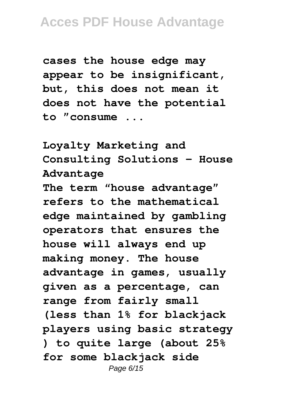**cases the house edge may appear to be insignificant, but, this does not mean it does not have the potential to "consume ...**

**Loyalty Marketing and Consulting Solutions - House Advantage**

**The term "house advantage" refers to the mathematical edge maintained by gambling operators that ensures the house will always end up making money. The house advantage in games, usually given as a percentage, can range from fairly small (less than 1% for blackjack players using basic strategy ) to quite large (about 25% for some blackjack side** Page 6/15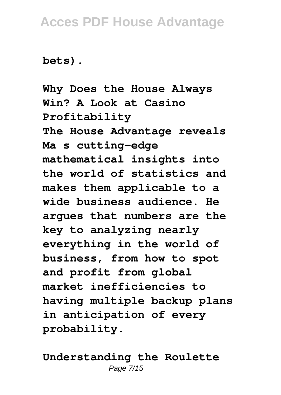#### **bets).**

**Why Does the House Always Win? A Look at Casino Profitability The House Advantage reveals Ma s cutting-edge mathematical insights into the world of statistics and makes them applicable to a wide business audience. He argues that numbers are the key to analyzing nearly everything in the world of business, from how to spot and profit from global market inefficiencies to having multiple backup plans in anticipation of every probability.**

**Understanding the Roulette** Page 7/15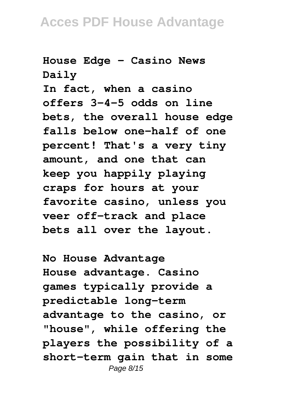**House Edge - Casino News Daily**

**In fact, when a casino offers 3-4-5 odds on line bets, the overall house edge falls below one-half of one percent! That's a very tiny amount, and one that can keep you happily playing craps for hours at your favorite casino, unless you veer off-track and place bets all over the layout.**

**No House Advantage House advantage. Casino games typically provide a predictable long-term advantage to the casino, or "house", while offering the players the possibility of a short-term gain that in some** Page 8/15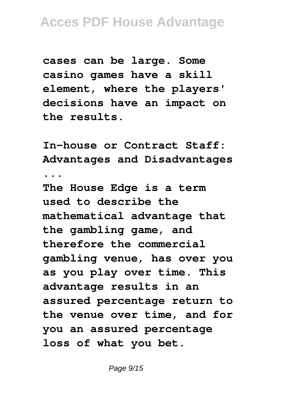**cases can be large. Some casino games have a skill element, where the players' decisions have an impact on the results.**

**In-house or Contract Staff: Advantages and Disadvantages ...**

**The House Edge is a term used to describe the mathematical advantage that the gambling game, and therefore the commercial gambling venue, has over you as you play over time. This advantage results in an assured percentage return to the venue over time, and for you an assured percentage loss of what you bet.**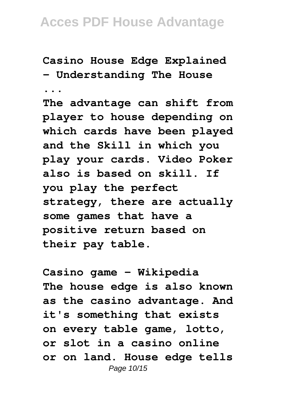**Casino House Edge Explained - Understanding The House ...**

**The advantage can shift from player to house depending on which cards have been played and the Skill in which you play your cards. Video Poker also is based on skill. If you play the perfect strategy, there are actually some games that have a positive return based on their pay table.**

**Casino game - Wikipedia The house edge is also known as the casino advantage. And it's something that exists on every table game, lotto, or slot in a casino online or on land. House edge tells** Page 10/15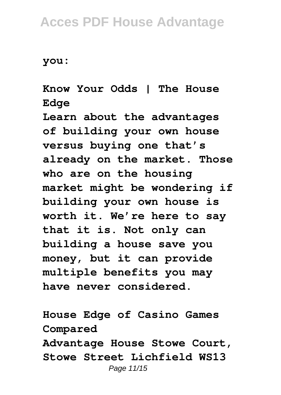**you:**

#### **Know Your Odds | The House Edge**

**Learn about the advantages of building your own house versus buying one that's already on the market. Those who are on the housing market might be wondering if building your own house is worth it. We're here to say that it is. Not only can building a house save you money, but it can provide multiple benefits you may have never considered.**

**House Edge of Casino Games Compared Advantage House Stowe Court, Stowe Street Lichfield WS13** Page 11/15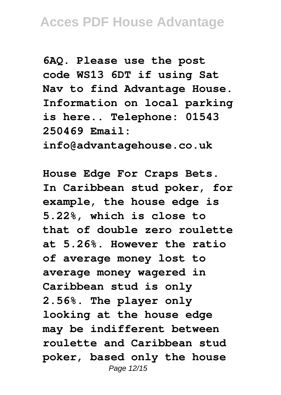**6AQ. Please use the post code WS13 6DT if using Sat Nav to find Advantage House. Information on local parking is here.. Telephone: 01543 250469 Email:**

**info@advantagehouse.co.uk**

**House Edge For Craps Bets. In Caribbean stud poker, for example, the house edge is 5.22%, which is close to that of double zero roulette at 5.26%. However the ratio of average money lost to average money wagered in Caribbean stud is only 2.56%. The player only looking at the house edge may be indifferent between roulette and Caribbean stud poker, based only the house** Page 12/15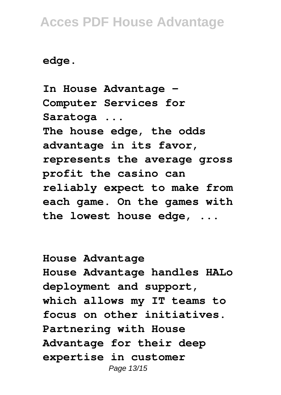**edge.**

**In House Advantage - Computer Services for Saratoga ... The house edge, the odds advantage in its favor, represents the average gross profit the casino can reliably expect to make from each game. On the games with the lowest house edge, ...**

**House Advantage House Advantage handles HALo deployment and support, which allows my IT teams to focus on other initiatives. Partnering with House Advantage for their deep expertise in customer** Page 13/15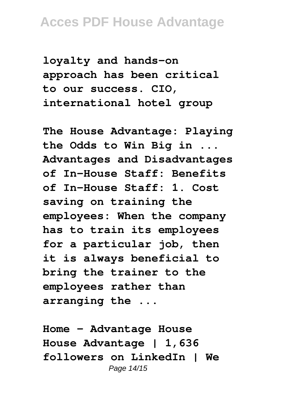**loyalty and hands-on approach has been critical to our success. CIO, international hotel group**

**The House Advantage: Playing the Odds to Win Big in ... Advantages and Disadvantages of In-House Staff: Benefits of In-House Staff: 1. Cost saving on training the employees: When the company has to train its employees for a particular job, then it is always beneficial to bring the trainer to the employees rather than arranging the ...**

**Home - Advantage House House Advantage | 1,636 followers on LinkedIn | We** Page 14/15